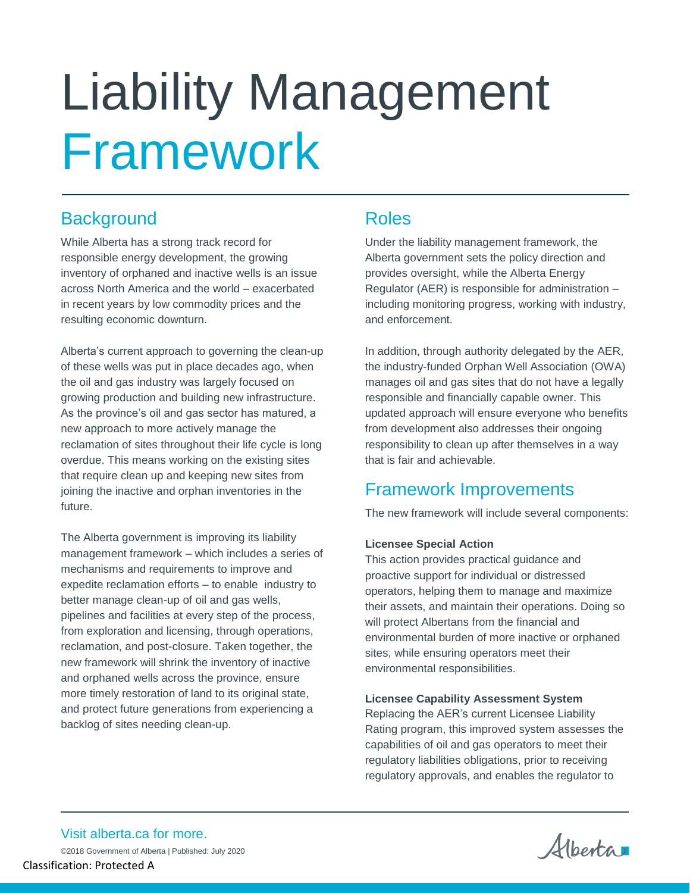# Liability Management Framework

# **Background**

While Alberta has a strong track record for responsible energy development, the growing inventory of orphaned and inactive wells is an issue across North America and the world – exacerbated in recent years by low commodity prices and the resulting economic downturn.

Alberta's current approach to governing the clean-up of these wells was put in place decades ago, when the oil and gas industry was largely focused on growing production and building new infrastructure. As the province's oil and gas sector has matured, a new approach to more actively manage the reclamation of sites throughout their life cycle is long overdue. This means working on the existing sites that require clean up and keeping new sites from joining the inactive and orphan inventories in the future.

The Alberta government is improving its liability management framework – which includes a series of mechanisms and requirements to improve and expedite reclamation efforts – to enable industry to better manage clean-up of oil and gas wells, pipelines and facilities at every step of the process, from exploration and licensing, through operations, reclamation, and post-closure. Taken together, the new framework will shrink the inventory of inactive and orphaned wells across the province, ensure more timely restoration of land to its original state, and protect future generations from experiencing a backlog of sites needing clean-up.

## Roles

Under the liability management framework, the Alberta government sets the policy direction and provides oversight, while the Alberta Energy Regulator (AER) is responsible for administration – including monitoring progress, working with industry, and enforcement.

In addition, through authority delegated by the AER, the industry-funded Orphan Well Association (OWA) manages oil and gas sites that do not have a legally responsible and financially capable owner. This updated approach will ensure everyone who benefits from development also addresses their ongoing responsibility to clean up after themselves in a way that is fair and achievable.

# Framework Improvements

The new framework will include several components:

### **Licensee Special Action**

This action provides practical guidance and proactive support for individual or distressed operators, helping them to manage and maximize their assets, and maintain their operations. Doing so will protect Albertans from the financial and environmental burden of more inactive or orphaned sites, while ensuring operators meet their environmental responsibilities.

#### **Licensee Capability Assessment System**

Replacing the AER's current Licensee Liability Rating program, this improved system assesses the capabilities of oil and gas operators to meet their regulatory liabilities obligations, prior to receiving regulatory approvals, and enables the regulator to

Albertan